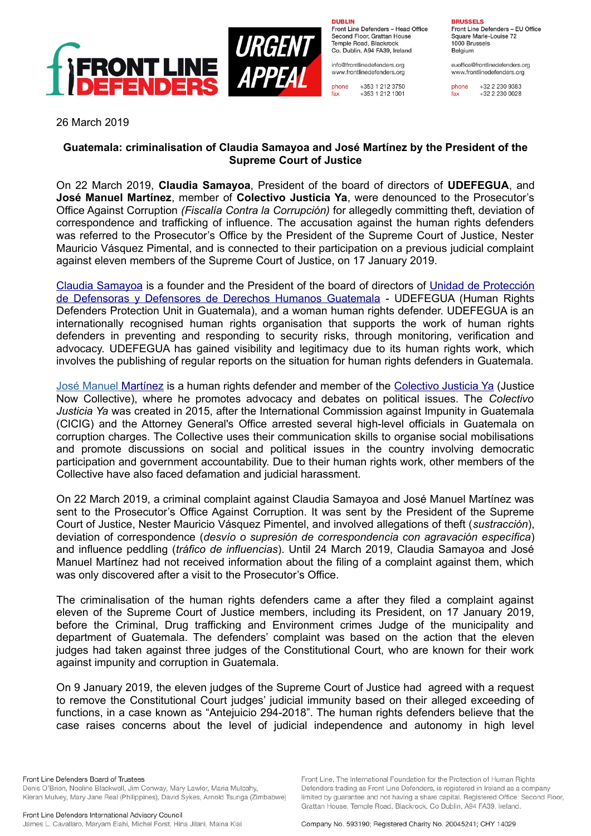

**DURLIN** Front Line Defenders - Head Office Second Floor, Grattan House Temple Boad, Blackrock

Co. Dublin, A94 FA39, Ireland info@frontlinedefenders.org www.frontlinedefenders.org

+353 1 212 3750 phone fax +353 1 212 1001

**BDHCCELC** 

Front Line Defenders - EU Office Square Marie-Louise 72 1000 Brussels Belgium

euoffice@frontlinedefenders.org www.frontlinedefenders.org

phone +32 2 230 9383  $fax$ +32 2 230 0028

26 March 2019

## **Guatemala: criminalisation of Claudia Samayoa and José Martínez by the President of the Supreme Court of Justice**

On 22 March 2019, **Claudia Samayoa**, President of the board of directors of **UDEFEGUA**, and **José Manuel Martínez**, member of **Colectivo Justicia Ya**, were denounced to the Prosecutor's Office Against Corruption *(Fiscalía Contra la Corrupción)* for allegedly committing theft, deviation of correspondence and trafficking of influence. The accusation against the human rights defenders was referred to the Prosecutor's Office by the President of the Supreme Court of Justice, Nester Mauricio Vásquez Pimental, and is connected to their participation on a previous judicial complaint against eleven members of the Supreme Court of Justice, on 17 January 2019.

[Claudia Samayoa](https://www.frontlinedefenders.org/en/profile/claudia-samayoa) is a founder and the President of the board of directors of [Unidad de Protección](http://udefegua.org/) [de Defensoras y Defensores de Derechos Humanos Guatemala](http://udefegua.org/) - UDEFEGUA (Human Rights Defenders Protection Unit in Guatemala), and a woman human rights defender. UDEFEGUA is an internationally recognised human rights organisation that supports the work of human rights defenders in preventing and responding to security risks, through monitoring, verification and advocacy. UDEFEGUA has gained visibility and legitimacy due to its human rights work, which involves the publishing of regular reports on the situation for human rights defenders in Guatemala.

 [José Manuel Martínez](https://www.frontlinedefenders.org/en/profile/jose-manuel-martinez) is a human rights defender and member of the [Colectivo Justicia Ya](https://justiciaya.gt/) (Justice Now Collective), where he promotes advocacy and debates on political issues. The *Colectivo Justicia Ya* was created in 2015, after the International Commission against Impunity in Guatemala (CICIG) and the Attorney General's Office arrested several high-level officials in Guatemala on corruption charges. The Collective uses their communication skills to organise social mobilisations and promote discussions on social and political issues in the country involving democratic participation and government accountability. Due to their human rights work, other members of the Collective have also faced defamation and judicial harassment.

On 22 March 2019, a criminal complaint against Claudia Samayoa and José Manuel Martínez was sent to the Prosecutor's Office Against Corruption. It was sent by the President of the Supreme Court of Justice, Nester Mauricio Vásquez Pimentel, and involved allegations of theft (*sustracción*), deviation of correspondence (*desvío o supresión de correspondencia con agravación específica*) and influence peddling (*tráfico de influencias*). Until 24 March 2019, Claudia Samayoa and José Manuel Martínez had not received information about the filing of a complaint against them, which was only discovered after a visit to the Prosecutor's Office.

The criminalisation of the human rights defenders came a after they filed a complaint against eleven of the Supreme Court of Justice members, including its President, on 17 January 2019, before the Criminal, Drug trafficking and Environment crimes Judge of the municipality and department of Guatemala. The defenders' complaint was based on the action that the eleven judges had taken against three judges of the Constitutional Court, who are known for their work against impunity and corruption in Guatemala.

On 9 January 2019, the eleven judges of the Supreme Court of Justice had agreed with a request to remove the Constitutional Court judges' judicial immunity based on their alleged exceeding of functions, in a case known as "Antejuicio 294-2018". The human rights defenders believe that the case raises concerns about the level of judicial independence and autonomy in high level

Front Line Defenders Board of Trustees Denis O'Brien, Noeline Blackwell, Jim Conway, Mary Lawlor, Maria Mulcahy, Kieran Mulvey, Mary Jane Real (Philippines), David Sykes, Arnold Tsunga (Zimbabwe)

Company No. 593190: Registered Charity No. 20045241; CHY 14029

Front Line. The International Foundation for the Protection of Human Rights